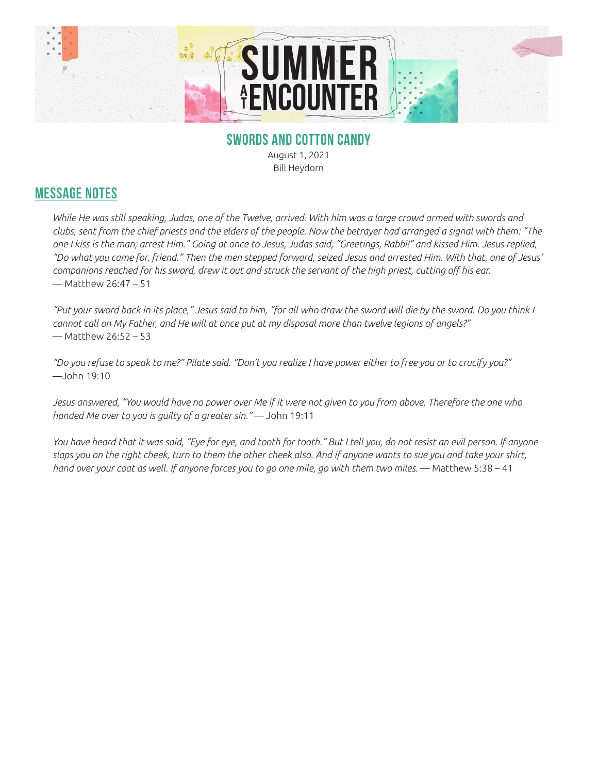

## **SWORDS AND COTTON CANDY**

August 1, 2021 Bill Heydorn

## **MESSAGE NOTES**

*While He was still speaking, Judas, one of the Twelve, arrived. With him was a large crowd armed with swords and clubs, sent from the chief priests and the elders of the people. Now the betrayer had arranged a signal with them: "The one I kiss is the man; arrest Him." Going at once to Jesus, Judas said, "Greetings, Rabbi!" and kissed Him. Jesus replied, "Do what you came for, friend." Then the men stepped forward, seized Jesus and arrested Him. With that, one of Jesus' companions reached for his sword, drew it out and struck the servant of the high priest, cutting off his ear.*  — Matthew 26:47 – 51

*"Put your sword back in its place," Jesus said to him, "for all who draw the sword will die by the sword. Do you think I cannot call on My Father, and He will at once put at my disposal more than twelve legions of angels?"*  — Matthew 26:52 – 53

*"Do you refuse to speak to me?" Pilate said. "Don't you realize I have power either to free you or to crucify you?"*  —John 19:10

*Jesus answered, "You would have no power over Me if it were not given to you from above. Therefore the one who handed Me over to you is guilty of a greater sin."* — John 19:11

*You have heard that it was said, "Eye for eye, and tooth for tooth." But I tell you, do not resist an evil person. If anyone slaps you on the right cheek, turn to them the other cheek also. And if anyone wants to sue you and take your shirt, hand over your coat as well. If anyone forces you to go one mile, go with them two miles.* — Matthew 5:38 – 41